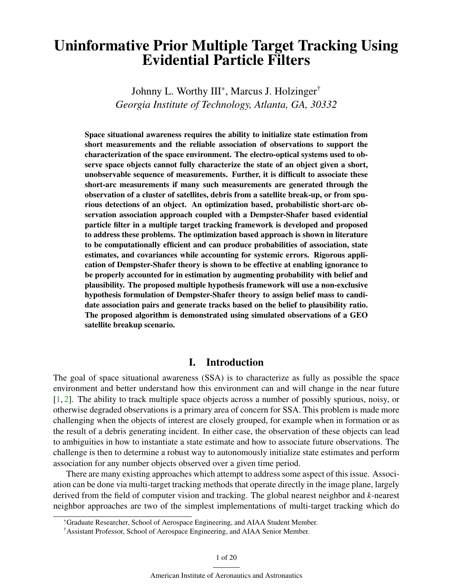# Uninformative Prior Multiple Target Tracking Using Evidential Particle Filters

Johnny L. Worthy III\*, Marcus J. Holzinger† *Georgia Institute of Technology, Atlanta, GA, 30332*

Space situational awareness requires the ability to initialize state estimation from short measurements and the reliable association of observations to support the characterization of the space environment. The electro-optical systems used to observe space objects cannot fully characterize the state of an object given a short, unobservable sequence of measurements. Further, it is difficult to associate these short-arc measurements if many such measurements are generated through the observation of a cluster of satellites, debris from a satellite break-up, or from spurious detections of an object. An optimization based, probabilistic short-arc observation association approach coupled with a Dempster-Shafer based evidential particle filter in a multiple target tracking framework is developed and proposed to address these problems. The optimization based approach is shown in literature to be computationally efficient and can produce probabilities of association, state estimates, and covariances while accounting for systemic errors. Rigorous application of Dempster-Shafer theory is shown to be effective at enabling ignorance to be properly accounted for in estimation by augmenting probability with belief and plausibility. The proposed multiple hypothesis framework will use a non-exclusive hypothesis formulation of Dempster-Shafer theory to assign belief mass to candidate association pairs and generate tracks based on the belief to plausibility ratio. The proposed algorithm is demonstrated using simulated observations of a GEO satellite breakup scenario.

# I. Introduction

The goal of space situational awareness (SSA) is to characterize as fully as possible the space environment and better understand how this environment can and will change in the near future  $[1, 2]$  $[1, 2]$  $[1, 2]$ . The ability to track multiple space objects across a number of possibly spurious, noisy, or otherwise degraded observations is a primary area of concern for SSA. This problem is made more challenging when the objects of interest are closely grouped, for example when in formation or as the result of a debris generating incident. In either case, the observation of these objects can lead to ambiguities in how to instantiate a state estimate and how to associate future observations. The challenge is then to determine a robust way to autonomously initialize state estimates and perform association for any number objects observed over a given time period.

There are many existing approaches which attempt to address some aspect of this issue. Association can be done via multi-target tracking methods that operate directly in the image plane, largely derived from the field of computer vision and tracking. The global nearest neighbor and *k*-nearest neighbor approaches are two of the simplest implementations of multi-target tracking which do

<sup>\*</sup>Graduate Researcher, School of Aerospace Engineering, and AIAA Student Member.

<sup>†</sup>Assistant Professor, School of Aerospace Engineering, and AIAA Senior Member.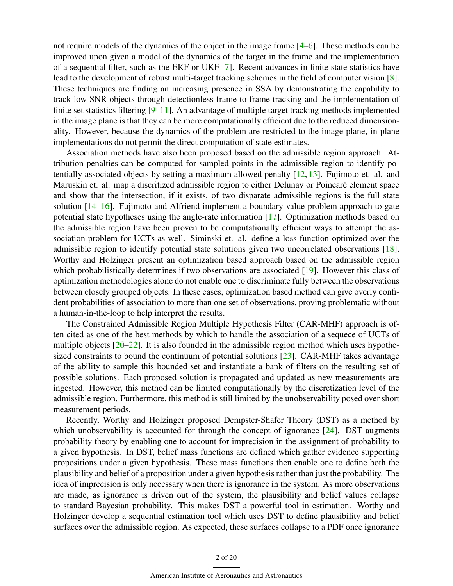not require models of the dynamics of the object in the image frame [\[4–](#page-16-2)[6\]](#page-17-0). These methods can be improved upon given a model of the dynamics of the target in the frame and the implementation of a sequential filter, such as the EKF or UKF [\[7\]](#page-17-1). Recent advances in finite state statistics have lead to the development of robust multi-target tracking schemes in the field of computer vision [\[8\]](#page-17-2). These techniques are finding an increasing presence in SSA by demonstrating the capability to track low SNR objects through detectionless frame to frame tracking and the implementation of finite set statistics filtering [\[9](#page-17-3)[–11\]](#page-17-4). An advantage of multiple target tracking methods implemented in the image plane is that they can be more computationally efficient due to the reduced dimensionality. However, because the dynamics of the problem are restricted to the image plane, in-plane implementations do not permit the direct computation of state estimates.

Association methods have also been proposed based on the admissible region approach. Attribution penalties can be computed for sampled points in the admissible region to identify potentially associated objects by setting a maximum allowed penalty [\[12,](#page-17-5) [13\]](#page-17-6). Fujimoto et. al. and Maruskin et. al. map a discritized admissible region to either Delunay or Poincaré element space and show that the intersection, if it exists, of two disparate admissible regions is the full state solution [\[14](#page-17-7)[–16\]](#page-17-8). Fujimoto and Alfriend implement a boundary value problem approach to gate potential state hypotheses using the angle-rate information [\[17\]](#page-17-9). Optimization methods based on the admissible region have been proven to be computationally efficient ways to attempt the association problem for UCTs as well. Siminski et. al. define a loss function optimized over the admissible region to identify potential state solutions given two uncorrelated observations [\[18\]](#page-17-10). Worthy and Holzinger present an optimization based approach based on the admissible region which probabilistically determines if two observations are associated [\[19\]](#page-17-11). However this class of optimization methodologies alone do not enable one to discriminate fully between the observations between closely grouped objects. In these cases, optimization based method can give overly confident probabilities of association to more than one set of observations, proving problematic without a human-in-the-loop to help interpret the results.

The Constrained Admissible Region Multiple Hypothesis Filter (CAR-MHF) approach is often cited as one of the best methods by which to handle the association of a sequece of UCTs of multiple objects [\[20](#page-17-12)[–22\]](#page-18-0). It is also founded in the admissible region method which uses hypothesized constraints to bound the continuum of potential solutions  $[23]$ . CAR-MHF takes advantage of the ability to sample this bounded set and instantiate a bank of filters on the resulting set of possible solutions. Each proposed solution is propagated and updated as new measurements are ingested. However, this method can be limited computationally by the discretization level of the admissible region. Furthermore, this method is still limited by the unobservability posed over short measurement periods.

Recently, Worthy and Holzinger proposed Dempster-Shafer Theory (DST) as a method by which unobservability is accounted for through the concept of ignorance [\[24\]](#page-18-2). DST augments probability theory by enabling one to account for imprecision in the assignment of probability to a given hypothesis. In DST, belief mass functions are defined which gather evidence supporting propositions under a given hypothesis. These mass functions then enable one to define both the plausibility and belief of a proposition under a given hypothesis rather than just the probability. The idea of imprecision is only necessary when there is ignorance in the system. As more observations are made, as ignorance is driven out of the system, the plausibility and belief values collapse to standard Bayesian probability. This makes DST a powerful tool in estimation. Worthy and Holzinger develop a sequential estimation tool which uses DST to define plausibility and belief surfaces over the admissible region. As expected, these surfaces collapse to a PDF once ignorance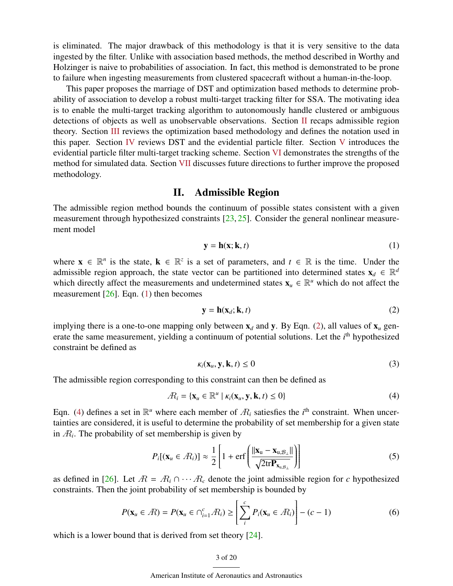is eliminated. The major drawback of this methodology is that it is very sensitive to the data ingested by the filter. Unlike with association based methods, the method described in Worthy and Holzinger is naive to probabilities of association. In fact, this method is demonstrated to be prone to failure when ingesting measurements from clustered spacecraft without a human-in-the-loop.

This paper proposes the marriage of DST and optimization based methods to determine probability of association to develop a robust multi-target tracking filter for SSA. The motivating idea is to enable the multi-target tracking algorithm to autonomously handle clustered or ambiguous detections of objects as well as unobservable observations. Section [II](#page-2-0) recaps admissible region theory. Section [III](#page-3-0) reviews the optimization based methodology and defines the notation used in this paper. Section [IV](#page-6-0) reviews DST and the evidential particle filter. Section [V](#page-8-0) introduces the evidential particle filter multi-target tracking scheme. Section [VI](#page-11-0) demonstrates the strengths of the method for simulated data. Section [VII](#page-14-0) discusses future directions to further improve the proposed methodology.

# II. Admissible Region

<span id="page-2-0"></span>The admissible region method bounds the continuum of possible states consistent with a given measurement through hypothesized constraints  $[23, 25]$  $[23, 25]$  $[23, 25]$ . Consider the general nonlinear measurement model

<span id="page-2-1"></span>
$$
y = h(x; k, t) \tag{1}
$$

where  $\mathbf{x} \in \mathbb{R}^n$  is the state,  $\mathbf{k} \in \mathbb{R}^z$  is a set of parameters, and  $t \in \mathbb{R}$  is the time. Under the admissible region approach, the state vector can be partitioned into determined states  $\mathbf{x}_d \in \mathbb{R}^d$ which directly affect the measurements and undetermined states  $\mathbf{x}_u \in \mathbb{R}^u$  which do not affect the measurement  $[26]$ . Eqn. [\(1\)](#page-2-1) then becomes

<span id="page-2-2"></span>
$$
\mathbf{y} = \mathbf{h}(\mathbf{x}_d; \mathbf{k}, t) \tag{2}
$$

implying there is a one-to-one mapping only between  $x_d$  and y. By Eqn. [\(2\)](#page-2-2), all values of  $x_u$  generate the same measurement, yielding a continuum of potential solutions. Let the *i*<sup>th</sup> hypothesized constraint be defined as

<span id="page-2-3"></span>
$$
\kappa_i(\mathbf{x}_u, \mathbf{y}, \mathbf{k}, t) \le 0 \tag{3}
$$

The admissible region corresponding to this constraint can then be defined as

$$
\mathcal{R}_i = \{ \mathbf{x}_u \in \mathbb{R}^u \mid \kappa_i(\mathbf{x}_u, \mathbf{y}, \mathbf{k}, t) \le 0 \}
$$
\n<sup>(4)</sup>

Eqn. [\(4\)](#page-2-3) defines a set in  $\mathbb{R}^u$  where each member of  $\mathcal{R}_i$  satiesfies the *i*<sup>th</sup> constraint. When uncertainties are considered, it is useful to determine the probability of set membership for a given state in  $R_i$ . The probability of set membership is given by

$$
P_i[(\mathbf{x}_u \in \mathcal{R}_i)] \approx \frac{1}{2} \left[ 1 + \text{erf}\left( \frac{\|\mathbf{x}_u - \mathbf{x}_{u, \mathcal{B}_\perp}\|}{\sqrt{2 \text{tr} \mathbf{P}_{\mathbf{x}_{u, \mathcal{B}_\perp}}}} \right) \right]
$$
(5)

as defined in [\[26\]](#page-18-4). Let  $\mathbb{R} = \mathbb{R}_i \cap \cdots \mathbb{R}_c$  denote the joint admissible region for c hypothesized constraints. Then the joint probability of set membership is bounded by

$$
P(\mathbf{x}_{u} \in \mathcal{R}) = P(\mathbf{x}_{u} \in \bigcap_{i=1}^{c} \mathcal{R}_{i}) \ge \left[ \sum_{i}^{c} P_{i}(\mathbf{x}_{u} \in \mathcal{R}_{i}) \right] - (c - 1)
$$
 (6)

which is a lower bound that is derived from set theory [\[24\]](#page-18-2).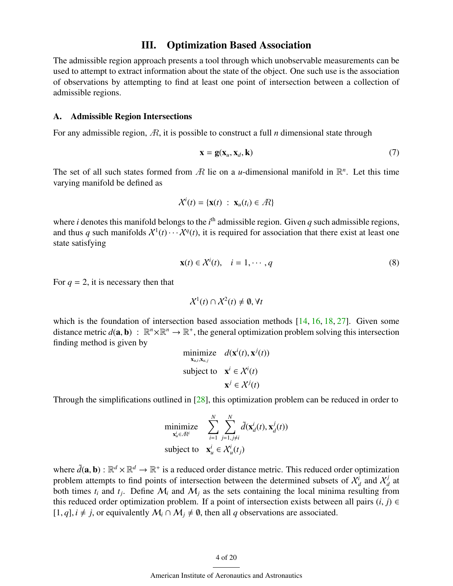# III. Optimization Based Association

<span id="page-3-0"></span>The admissible region approach presents a tool through which unobservable measurements can be used to attempt to extract information about the state of the object. One such use is the association of observations by attempting to find at least one point of intersection between a collection of admissible regions.

### A. Admissible Region Intersections

For any admissible region, A, it is possible to construct a full *n* dimensional state through

$$
\mathbf{x} = \mathbf{g}(\mathbf{x}_u, \mathbf{x}_d, \mathbf{k}) \tag{7}
$$

The set of all such states formed from  $\hat{R}$  lie on a *u*-dimensional manifold in  $\mathbb{R}^n$ . Let this time varying manifold be defined as

$$
\mathcal{X}^i(t) = \{ \mathbf{x}(t) : \mathbf{x}_u(t_i) \in \mathcal{A} \}
$$

where *i* denotes this manifold belongs to the  $i<sup>th</sup>$  admissible region. Given  $q$  such admissible regions, and thus q such manifolds  $X^1(t) \cdots X^q(t)$ , it is required for association that there exist at least one state satisfying

$$
\mathbf{x}(t) \in \mathcal{X}^i(t), \quad i = 1, \cdots, q \tag{8}
$$

For  $q = 2$ , it is necessary then that

$$
\mathcal{X}^1(t) \cap \mathcal{X}^2(t) \neq \emptyset, \forall t
$$

which is the foundation of intersection based association methods [\[14,](#page-17-7) [16,](#page-17-8) [18,](#page-17-10) [27\]](#page-18-5). Given some distance metric  $d(\mathbf{a}, \mathbf{b}) : \mathbb{R}^n \times \mathbb{R}^n \to \mathbb{R}^+$ , the general optimization problem solving this intersection finding method is given by finding method is given by

minimize 
$$
d(\mathbf{x}^i(t), \mathbf{x}^j(t))
$$
  
subject to  $\mathbf{x}^i \in \mathcal{X}^i(t)$   
 $\mathbf{x}^j \in \mathcal{X}^j(t)$ 

Through the simplifications outlined in [\[28\]](#page-18-6), this optimization problem can be reduced in order to

minimize 
$$
\sum_{\mathbf{x}_u^i \in \mathcal{R}^i}^N \sum_{i=1}^N \sum_{j=1, j \neq i}^N \tilde{d}(\mathbf{x}_d^i(t), \mathbf{x}_d^j(t))
$$
  
subject to 
$$
\mathbf{x}_u^i \in \mathcal{X}_u^i(t_j)
$$

where  $\tilde{d}(\mathbf{a}, \mathbf{b}) : \mathbb{R}^d \times \mathbb{R}^d \to \mathbb{R}^+$  is a reduced order distance metric. This reduced order optimization problem attempts to find points of intersection between the determined subsets of  $X^i$  and  $X^j$ problem attempts to find points of intersection between the determined subsets of  $\mathcal{X}_d^i$  and  $\mathcal{X}_d^j$  $\frac{J}{d}$  at both times  $t_i$  and  $t_j$ . Define  $\mathcal{M}_i$  and  $\mathcal{M}_j$  as the sets containing the local minima resulting from this reduced order optimization problem. If a point of intersection exists between all pairs  $(i, j) \in$  $[1, q]$ ,  $i \neq j$ , or equivalently  $\mathcal{M}_i \cap \mathcal{M}_j \neq \emptyset$ , then all *q* observations are associated.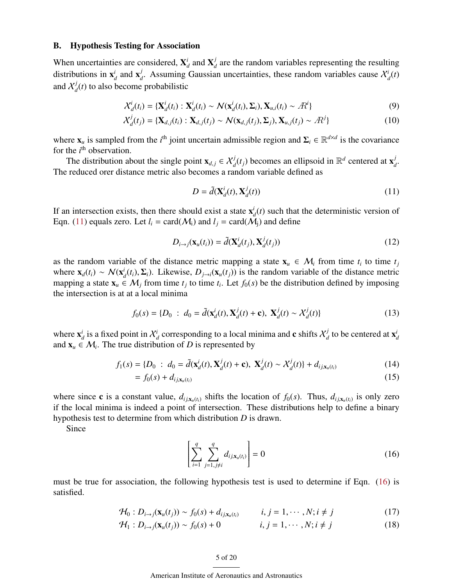### B. Hypothesis Testing for Association

When uncertainties are considered, X *i*  $\frac{i}{d}$  and  $\mathbf{X}_{d}^{j}$  $d_d$  are the random variables representing the resulting distributions in x *i*  $\frac{i}{d}$  and  $\mathbf{x}_a^j$ *d*. Assuming Gaussian uncertainties, these random variables cause  $\chi_d^i(t)$ and  $\mathcal{X}^j_a$  $d_d(t)$  to also become probabilistic

$$
\mathcal{X}_d^i(t_i) = \{ \mathbf{X}_d^i(t_i) : \mathbf{X}_d^i(t_i) \sim \mathcal{N}(\mathbf{x}_d^i(t_i), \Sigma_i), \mathbf{X}_{u,i}(t_i) \sim \mathcal{R}^i \}
$$
(9)

$$
\mathcal{X}_d^j(t_j) = \{ \mathbf{X}_{d,j}(t_i) : \mathbf{X}_{d,j}(t_j) \sim \mathcal{N}(\mathbf{x}_{d,j}(t_j), \Sigma_j), \mathbf{X}_{u,j}(t_j) \sim \mathcal{R}^j \}
$$
(10)

where  $\mathbf{x}_u$  is sampled from the *i*<sup>th</sup> joint uncertain admissible region and  $\Sigma_i \in \mathbb{R}^{d \times d}$  is the covariance for the  $i<sup>th</sup>$  observation.

The distribution about the single point  $\mathbf{x}_{d,j} \in \mathcal{X}_d^j(t_j)$  becomes an ellipsoid in  $\mathbb{R}^d$  centered at  $\mathbf{x}_d^j$ *d* . The reduced orer distance metric also becomes a random variable defined as

<span id="page-4-0"></span>
$$
D = \tilde{d}(\mathbf{X}_d^i(t), \mathbf{X}_d^j(t))
$$
\n(11)

If an intersection exists, then there should exist a state  $\mathbf{x}_i^i$  $d_d(t)$  such that the deterministic version of Eqn. [\(11\)](#page-4-0) equals zero. Let  $l_i = \text{card}(\mathcal{M}_i)$  and  $l_i = \text{card}(\mathcal{M}_i)$  and define

$$
D_{i \to j}(\mathbf{x}_u(t_i)) = \tilde{d}(\mathbf{X}_d^i(t_j), \mathbf{X}_d^j(t_j))
$$
\n(12)

as the random variable of the distance metric mapping a state  $\mathbf{x}_u \in \mathcal{M}_i$  from time  $t_i$  to time  $t_j$ where  $\mathbf{x}_d(t_i) \sim \mathcal{N}(\mathbf{x}_i^i)$ *d*<sub>*d*</sub>(*t<sub>i</sub>*),  $\Sigma$ <sub>*i*</sub>). Likewise, *D*<sub>*j*→*i*</sub>( $\mathbf{x}_u(t_j)$ ) is the random variable of the distance metric  $\in$  *M*<sub>*i*</sub> from time *t*<sub>*i*</sub> to time *t*<sub>i</sub>. Let *f<sub>i</sub>*(*s*) be the distribution defined by imposing mapping a state  $\mathbf{x}_u \in \mathcal{M}_j$  from time  $t_j$  to time  $t_i$ . Let  $f_0(s)$  be the distribution defined by imposing the intersection is at at a local minima

$$
f_0(s) = \{D_0 : d_0 = \tilde{d}(\mathbf{x}_d^i(t), \mathbf{X}_d^j(t) + \mathbf{c}), \mathbf{X}_d^j(t) \sim \mathcal{X}_d^j(t)\}\
$$
(13)

where  $\mathbf{x}_c^i$  $d$  is a fixed point in  $\mathcal{X}^i_d$  corresponding to a local minima and  $\mathbf c$  shifts  $\mathcal{X}^j_d$  $\frac{d}{dt}$  to be centered at  $\mathbf{x}_i^i$ *d* and  $\mathbf{x}_u \in \mathcal{M}_i$ . The true distribution of *D* is represented by

$$
f_1(s) = \{D_0 : d_0 = \tilde{d}(\mathbf{x}_d^i(t), \mathbf{X}_d^j(t) + \mathbf{c}), \ \mathbf{X}_d^j(t) \sim \mathcal{X}_d^j(t)\} + d_{ij, \mathbf{x}_u(t_i)}
$$
(14)

$$
= f_0(s) + d_{ij, \mathbf{x}_u(t_i)} \tag{15}
$$

where since c is a constant value,  $d_{ij,x_u(i)}$  shifts the location of  $f_0(s)$ . Thus,  $d_{ij,x_u(i)}$  is only zero<br>if the local minime is indeed a neighborhood intersection. These distributions help to define a hinery if the local minima is indeed a point of intersection. These distributions help to define a binary hypothesis test to determine from which distribution *D* is drawn.

Since

<span id="page-4-1"></span>
$$
\left[\sum_{i=1}^{q} \sum_{j=1, j \neq i}^{q} d_{ij, \mathbf{x}_{u}(t_i)}\right] = 0
$$
\n(16)

must be true for association, the following hypothesis test is used to determine if Eqn. [\(16\)](#page-4-1) is satisfied.

$$
\mathcal{H}_0: D_{i\to j}(\mathbf{x}_u(t_j)) \sim f_0(s) + d_{ij,\mathbf{x}_u(t_i)} \qquad i, j = 1, \cdots, N; i \neq j \tag{17}
$$

$$
\mathcal{H}_1: D_{i \to j}(\mathbf{x}_u(t_j)) \sim f_0(s) + 0 \qquad i, j = 1, \cdots, N; i \neq j \qquad (18)
$$

#### 5 of 20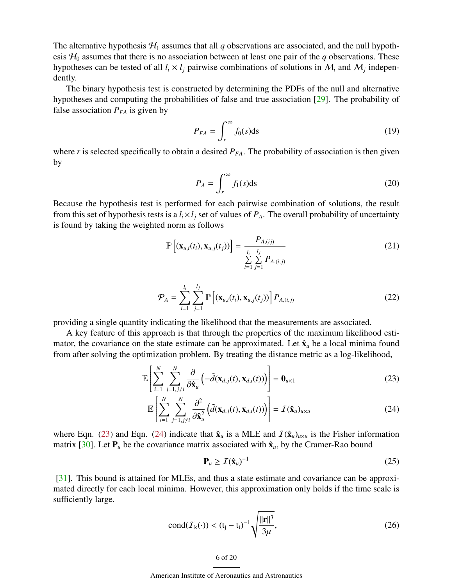The alternative hypothesis  $H_1$  assumes that all *q* observations are associated, and the null hypothesis  $H_0$  assumes that there is no association between at least one pair of the *q* observations. These hypotheses can be tested of all  $l_i \times l_j$  pairwise combinations of solutions in  $M_i$  and  $M_j$  independently.

The binary hypothesis test is constructed by determining the PDFs of the null and alternative hypotheses and computing the probabilities of false and true association [\[29\]](#page-18-7). The probability of false association  $P_{FA}$  is given by

$$
P_{FA} = \int_{r}^{\infty} f_0(s) \, \mathrm{d}s \tag{19}
$$

where  $r$  is selected specifically to obtain a desired  $P_{FA}$ . The probability of association is then given by

<span id="page-5-3"></span>
$$
P_A = \int_r^{\infty} f_1(s) \, \mathrm{d}s \tag{20}
$$

Because the hypothesis test is performed for each pairwise combination of solutions, the result from this set of hypothesis tests is a  $l_i \times l_j$  set of values of  $P_A$ . The overall probability of uncertainty is found by taking the weighted norm as follows

$$
\mathbb{P}\left[\left(\mathbf{x}_{u,i}(t_i), \mathbf{x}_{u,j}(t_j)\right)\right] = \frac{P_{A,(i,j)}}{\sum_{i=1}^{l_i} \sum_{j=1}^{l_j} P_{A,(i,j)}}
$$
(21)

$$
\mathcal{P}_A = \sum_{i=1}^{l_i} \sum_{j=1}^{l_j} \mathbb{P}\left[ (\mathbf{x}_{u,i}(t_i), \mathbf{x}_{u,j}(t_j)) \right] P_{A,(i,j)} \tag{22}
$$

providing a single quantity indicating the likelihood that the measurements are associated.

A key feature of this approach is that through the properties of the maximum likelihood estimator, the covariance on the state estimate can be approximated. Let  $\hat{\mathbf{x}}_u$  be a local minima found from after solving the optimization problem. By treating the distance metric as a log-likelihood,

$$
\mathbb{E}\left[\sum_{i=1}^{N}\sum_{j=1,j\neq i}^{N}\frac{\partial}{\partial \hat{\mathbf{x}}_{u}}\left(-\tilde{d}(\mathbf{x}_{d,j}(t),\mathbf{x}_{d,i}(t))\right)\right]=\mathbf{0}_{u\times 1}
$$
\n(23)

$$
\mathbb{E}\left[\sum_{i=1}^{N}\sum_{j=1,j\neq i}^{N}\frac{\partial^{2}}{\partial \hat{\mathbf{x}}_{u}^{2}}\left(\tilde{d}(\mathbf{x}_{d,j}(t),\mathbf{x}_{d,i}(t))\right)\right]=\mathcal{I}(\hat{\mathbf{x}}_{u})_{u\times u}
$$
(24)

where Eqn. [\(23\)](#page-5-0) and Eqn. [\(24\)](#page-5-1) indicate that  $\hat{\mathbf{x}}_u$  is a MLE and  $\mathcal{I}(\hat{\mathbf{x}}_u)_{u \times u}$  is the Fisher information matrix [\[30\]](#page-18-8). Let  $P_u$  be the covariance matrix associated with  $\hat{x}_u$ , by the Cramer-Rao bound

<span id="page-5-1"></span><span id="page-5-0"></span>
$$
\mathbf{P}_u \ge \mathcal{I}(\hat{\mathbf{x}}_u)^{-1} \tag{25}
$$

[\[31\]](#page-18-9). This bound is attained for MLEs, and thus a state estimate and covariance can be approximated directly for each local minima. However, this approximation only holds if the time scale is sufficiently large.

cond
$$
(\mathcal{I}_k(\cdot)) < (t_j - t_i)^{-1} \sqrt{\frac{||\mathbf{r}||^3}{3\mu}},
$$
 (26)

<span id="page-5-2"></span>6 of 20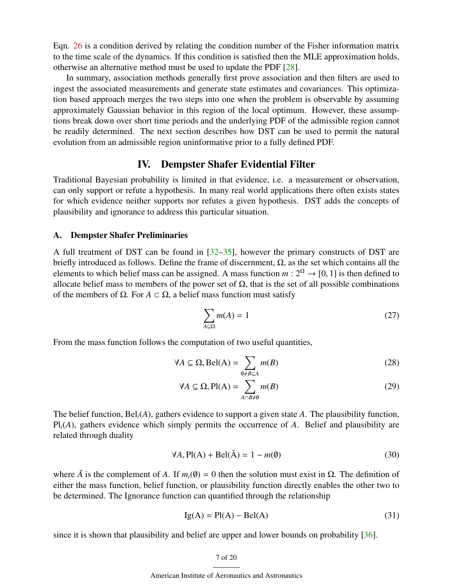Eqn. [26](#page-5-2) is a condition derived by relating the condition number of the Fisher information matrix to the time scale of the dynamics. If this condition is satisfied then the MLE approximation holds, otherwise an alternative method must be used to update the PDF [\[28\]](#page-18-6).

In summary, association methods generally first prove association and then filters are used to ingest the associated measurements and generate state estimates and covariances. This optimization based approach merges the two steps into one when the problem is observable by assuming approximately Gaussian behavior in this region of the local optimum. However, these assumptions break down over short time periods and the underlying PDF of the admissible region cannot be readily determined. The next section describes how DST can be used to permit the natural evolution from an admissible region uninformative prior to a fully defined PDF.

# IV. Dempster Shafer Evidential Filter

<span id="page-6-0"></span>Traditional Bayesian probability is limited in that evidence, i.e. a measurement or observation, can only support or refute a hypothesis. In many real world applications there often exists states for which evidence neither supports nor refutes a given hypothesis. DST adds the concepts of plausibility and ignorance to address this particular situation.

### A. Dempster Shafer Preliminaries

A full treatment of DST can be found in [\[32](#page-18-10)[–35\]](#page-18-11), however the primary constructs of DST are briefly introduced as follows. Define the frame of discernment,  $\Omega$ , as the set which contains all the elements to which belief mass can be assigned. A mass function  $m: 2^{\Omega} \to [0, 1]$  is then defined to allocate belief mass to members of the power set of  $\Omega$ , that is the set of all possible combinations of the members of  $\Omega$ . For *A*  $\subset$   $\Omega$ , a belief mass function must satisfy

<span id="page-6-3"></span><span id="page-6-2"></span><span id="page-6-1"></span>
$$
\sum_{A \subseteq \Omega} m(A) = 1 \tag{27}
$$

From the mass function follows the computation of two useful quantities,

$$
\forall A \subseteq \Omega, \text{Bel}(A) = \sum_{\emptyset \neq B \subseteq A} m(B) \tag{28}
$$

$$
\forall A \subseteq \Omega, \text{Pl}(A) = \sum_{A \cap B \neq \emptyset} m(B) \tag{29}
$$

The belief function, Bel*i*(*A*), gathers evidence to support a given state *A*. The plausibility function, Pl*i*(*A*), gathers evidence which simply permits the occurrence of *A*. Belief and plausibility are related through duality

$$
\forall A, \text{Pl}(A) + \text{Bel}(\bar{A}) = 1 - m(\emptyset)
$$
\n(30)

where  $\bar{A}$  is the complement of *A*. If  $m_i(\emptyset) = 0$  then the solution must exist in  $\Omega$ . The definition of either the mass function, belief function, or plausibility function directly enables the other two to be determined. The Ignorance function can quantified through the relationship

$$
Ig(A) = P I(A) - Bel(A)
$$
\n(31)

since it is shown that plausibility and belief are upper and lower bounds on probability [\[36\]](#page-18-12).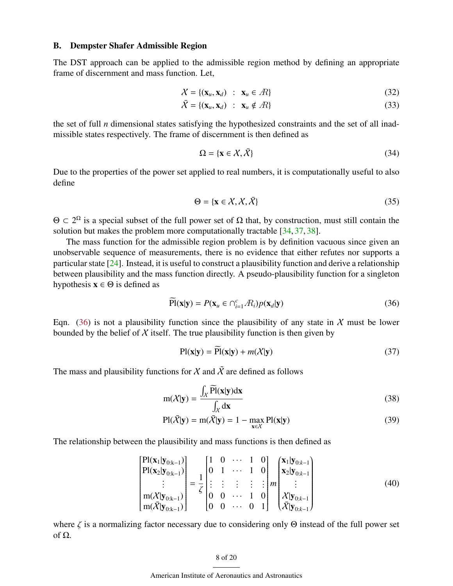### B. Dempster Shafer Admissible Region

The DST approach can be applied to the admissible region method by defining an appropriate frame of discernment and mass function. Let,

$$
\mathcal{X} = \{(\mathbf{x}_u, \mathbf{x}_d) : \mathbf{x}_u \in \mathcal{A}\}\tag{32}
$$

$$
\bar{X} = \{(\mathbf{x}_u, \mathbf{x}_d) : \mathbf{x}_u \notin \mathcal{R}\}\tag{33}
$$

the set of full *n* dimensional states satisfying the hypothesized constraints and the set of all inadmissible states respectively. The frame of discernment is then defined as

$$
\Omega = \{ \mathbf{x} \in \mathcal{X}, \bar{\mathcal{X}} \} \tag{34}
$$

Due to the properties of the power set applied to real numbers, it is computationally useful to also define

$$
\Theta = \{ \mathbf{x} \in \mathcal{X}, \mathcal{X}, \bar{\mathcal{X}} \}
$$
 (35)

 $\Theta \subset 2^{\Omega}$  is a special subset of the full power set of  $\Omega$  that, by construction, must still contain the solution but makes the problem more computationally tractable [\[34,](#page-18-13) [37,](#page-19-0) [38\]](#page-19-1).

The mass function for the admissible region problem is by definition vacuous since given an unobservable sequence of measurements, there is no evidence that either refutes nor supports a particular state [\[24\]](#page-18-2). Instead, it is useful to construct a plausibility function and derive a relationship between plausibility and the mass function directly. A pseudo-plausibility function for a singleton hypothesis  $x \in \Theta$  is defined as

$$
\widetilde{Pl}(\mathbf{x}|\mathbf{y}) = P(\mathbf{x}_u \in \bigcap_{i=1}^c R_i) p(\mathbf{x}_d|\mathbf{y})
$$
\n(36)

Eqn.  $(36)$  is not a plausibility function since the plausibility of any state in X must be lower bounded by the belief of  $X$  itself. The true plausibility function is then given by

<span id="page-7-3"></span><span id="page-7-2"></span><span id="page-7-0"></span>
$$
Pl(x|y) = Pl(x|y) + m(X|y)
$$
\n(37)

The mass and plausibility functions for  $\chi$  and  $\tilde{\chi}$  are defined as follows

$$
m(X|y) = \frac{\int_X \widetilde{P}(x|y)dx}{\int_X dx}
$$
\n(38)

$$
Pl(\bar{X}|\mathbf{y}) = m(\bar{X}|\mathbf{y}) = 1 - \max_{\mathbf{x} \in \mathcal{X}} Pl(\mathbf{x}|\mathbf{y})
$$
(39)

The relationship between the plausibility and mass functions is then defined as

$$
\begin{bmatrix}\n\text{Pl}(\mathbf{x}_{1}|\mathbf{y}_{0:k-1}) \\
\text{Pl}(\mathbf{x}_{2}|\mathbf{y}_{0:k-1}) \\
\vdots \\
\text{m}(\mathcal{X}|\mathbf{y}_{0:k-1}) \\
\text{m}(\mathcal{X}|\mathbf{y}_{0:k-1})\n\end{bmatrix} = \frac{1}{\zeta} \begin{bmatrix}\n1 & 0 & \cdots & 1 & 0 \\
0 & 1 & \cdots & 1 & 0 \\
\vdots & \vdots & \vdots & \vdots & \vdots \\
0 & 0 & \cdots & 1 & 0 \\
0 & 0 & \cdots & 0 & 1\n\end{bmatrix}\n\begin{bmatrix}\n\mathbf{x}_{1}|\mathbf{y}_{0:k-1} \\
\mathbf{x}_{2}|\mathbf{y}_{0:k-1} \\
\vdots \\
\mathbf{x}|\mathbf{y}_{0:k-1} \\
\mathbf{x}|\mathbf{y}_{0:k-1}\n\end{bmatrix}
$$
\n(40)

where  $\zeta$  is a normalizing factor necessary due to considering only  $\Theta$  instead of the full power set of Ω.

### <span id="page-7-1"></span>8 of 20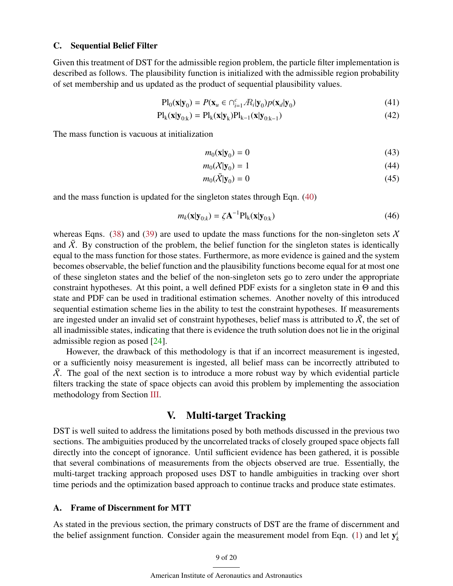### <span id="page-8-1"></span>C. Sequential Belief Filter

Given this treatment of DST for the admissible region problem, the particle filter implementation is described as follows. The plausibility function is initialized with the admissible region probability of set membership and us updated as the product of sequential plausibility values.

$$
\mathbf{Pl}_0(\mathbf{x}|\mathbf{y}_0) = P(\mathbf{x}_u \in \bigcap_{i=1}^c \mathcal{R}_i|\mathbf{y}_0) p(\mathbf{x}_d|\mathbf{y}_0)
$$
(41)

$$
Pl_{k}(\mathbf{x}|\mathbf{y}_{0:k}) = Pl_{k}(\mathbf{x}|\mathbf{y}_{k})Pl_{k-1}(\mathbf{x}|\mathbf{y}_{0:k-1})
$$
\n(42)

The mass function is vacuous at initialization

$$
m_0(\mathbf{x}|\mathbf{y}_0) = 0 \tag{43}
$$

$$
m_0(X|\mathbf{y}_0) = 1\tag{44}
$$

$$
m_0(\bar{X}|\mathbf{y}_0) = 0\tag{45}
$$

and the mass function is updated for the singleton states through Eqn. [\(40\)](#page-7-1)

$$
m_k(\mathbf{x}|\mathbf{y}_{0:k}) = \zeta \mathbf{A}^{-1} \mathbf{Pl}_k(\mathbf{x}|\mathbf{y}_{0:k})
$$
\n(46)

whereas Eqns. [\(38\)](#page-7-2) and [\(39\)](#page-7-3) are used to update the mass functions for the non-singleton sets  $\chi$ and  $\overline{X}$ . By construction of the problem, the belief function for the singleton states is identically equal to the mass function for those states. Furthermore, as more evidence is gained and the system becomes observable, the belief function and the plausibility functions become equal for at most one of these singleton states and the belief of the non-singleton sets go to zero under the appropriate constraint hypotheses. At this point, a well defined PDF exists for a singleton state in Θ and this state and PDF can be used in traditional estimation schemes. Another novelty of this introduced sequential estimation scheme lies in the ability to test the constraint hypotheses. If measurements are ingested under an invalid set of constraint hypotheses, belief mass is attributed to  $\overline{X}$ , the set of all inadmissible states, indicating that there is evidence the truth solution does not lie in the original admissible region as posed [\[24\]](#page-18-2).

However, the drawback of this methodology is that if an incorrect measurement is ingested, or a sufficiently noisy measurement is ingested, all belief mass can be incorrectly attributed to  $\overline{X}$ . The goal of the next section is to introduce a more robust way by which evidential particle filters tracking the state of space objects can avoid this problem by implementing the association methodology from Section [III.](#page-3-0)

# V. Multi-target Tracking

<span id="page-8-0"></span>DST is well suited to address the limitations posed by both methods discussed in the previous two sections. The ambiguities produced by the uncorrelated tracks of closely grouped space objects fall directly into the concept of ignorance. Until sufficient evidence has been gathered, it is possible that several combinations of measurements from the objects observed are true. Essentially, the multi-target tracking approach proposed uses DST to handle ambiguities in tracking over short time periods and the optimization based approach to continue tracks and produce state estimates.

### A. Frame of Discernment for MTT

As stated in the previous section, the primary constructs of DST are the frame of discernment and the belief assignment function. Consider again the measurement model from Eqn. [\(1\)](#page-2-1) and let  $y_i^i$ *k*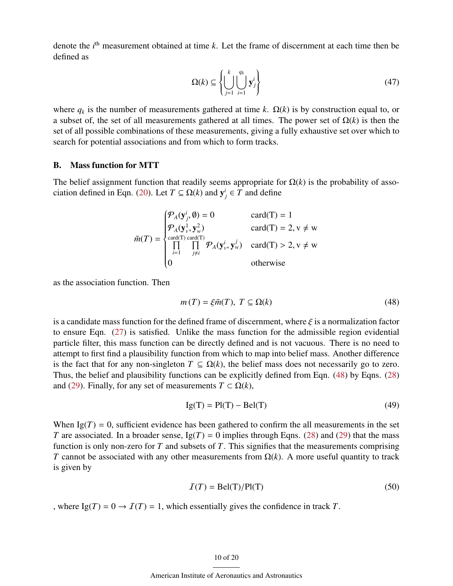denote the *i*<sup>th</sup> measurement obtained at time *k*. Let the frame of discernment at each time then be defined as

$$
\Omega(k) \subseteq \left\{ \bigcup_{j=1}^{k} \bigcup_{i=1}^{q_k} \mathbf{y}_j^i \right\} \tag{47}
$$

where  $q_k$  is the number of measurements gathered at time k.  $\Omega(k)$  is by construction equal to, or a subset of, the set of all measurements gathered at all times. The power set of Ω(*k*) is then the set of all possible combinations of these measurements, giving a fully exhaustive set over which to search for potential associations and from which to form tracks.

### B. Mass function for MTT

The belief assignment function that readily seems appropriate for  $\Omega(k)$  is the probability of asso-ciation defined in Eqn. [\(20\)](#page-5-3). Let  $T \subseteq \Omega(k)$  and  $y^i_j \in T$  and define

$$
\tilde{m}(T) = \begin{cases}\n\mathcal{P}_A(\mathbf{y}_j^i, \emptyset) = 0 & \text{card}(T) = 1 \\
\mathcal{P}_A(\mathbf{y}_v^1, \mathbf{y}_w^2) & \text{card}(T) = 2, v \neq w \\
\prod_{i=1}^{\text{card}(T) \text{ card}(T)} \prod_{j \neq i}^{\text{card}(T)} \mathcal{P}_A(\mathbf{y}_v^i, \mathbf{y}_w^j) & \text{card}(T) > 2, v \neq w \\
0 & \text{otherwise}\n\end{cases}
$$

as the association function. Then

<span id="page-9-0"></span>
$$
m(T) = \xi \tilde{m}(T), \ T \subseteq \Omega(k) \tag{48}
$$

is a candidate mass function for the defined frame of discernment, where  $\xi$  is a normalization factor to ensure Eqn. [\(27\)](#page-6-1) is satisfied. Unlike the mass function for the admissible region evidential particle filter, this mass function can be directly defined and is not vacuous. There is no need to attempt to first find a plausibility function from which to map into belief mass. Another difference is the fact that for any non-singleton  $T \subseteq \Omega(k)$ , the belief mass does not necessarily go to zero. Thus, the belief and plausibility functions can be explicitly defined from Eqn. [\(48\)](#page-9-0) by Eqns. [\(28\)](#page-6-2) and [\(29\)](#page-6-3). Finally, for any set of measurements  $T \subset \Omega(k)$ ,

$$
Ig(T) = Pl(T) - Bel(T)
$$
\n(49)

When  $Ig(T) = 0$ , sufficient evidence has been gathered to confirm the all measurements in the set *T* are associated. In a broader sense,  $Ig(T) = 0$  implies through Eqns. [\(28\)](#page-6-2) and [\(29\)](#page-6-3) that the mass function is only non-zero for *T* and subsets of *T*. This signifies that the measurements comprising *T* cannot be associated with any other measurements from  $\Omega(k)$ . A more useful quantity to track is given by

$$
\mathcal{I}(T) = \text{Bel}(T)/\text{Pl}(T) \tag{50}
$$

, where  $Ig(T) = 0 \rightarrow T(T) = 1$ , which essentially gives the confidence in track *T*.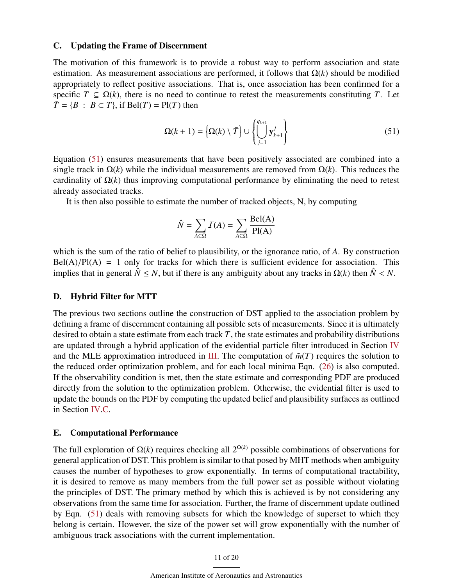### C. Updating the Frame of Discernment

The motivation of this framework is to provide a robust way to perform association and state estimation. As measurement associations are performed, it follows that  $\Omega(k)$  should be modified appropriately to reflect positive associations. That is, once association has been confirmed for a specific  $T \subseteq \Omega(k)$ , there is no need to continue to retest the measurements constituting *T*. Let  $\overline{T} = \{B : B \subset T\}$ , if Bel(*T*) = Pl(*T*) then

<span id="page-10-0"></span>
$$
\Omega(k+1) = \left\{ \Omega(k) \setminus \overline{T} \right\} \cup \left\{ \bigcup_{j=1}^{q_{k+1}} \mathbf{y}_{k+1}^j \right\} \tag{51}
$$

Equation [\(51\)](#page-10-0) ensures measurements that have been positively associated are combined into a single track in Ω(*k*) while the individual measurements are removed from Ω(*k*). This reduces the cardinality of  $\Omega(k)$  thus improving computational performance by eliminating the need to retest already associated tracks.

It is then also possible to estimate the number of tracked objects, N, by computing

$$
\hat{N} = \sum_{A \subseteq \Omega} I(A) = \sum_{A \subseteq \Omega} \frac{\text{Bel}(A)}{\text{Pl}(A)}
$$

which is the sum of the ratio of belief to plausibility, or the ignorance ratio, of *A*. By construction  $Bel(A)/Pl(A) = 1$  only for tracks for which there is sufficient evidence for association. This implies that in general  $\hat{N} \leq N$ , but if there is any ambiguity about any tracks in  $\Omega(k)$  then  $\hat{N} \leq N$ .

### D. Hybrid Filter for MTT

The previous two sections outline the construction of DST applied to the association problem by defining a frame of discernment containing all possible sets of measurements. Since it is ultimately desired to obtain a state estimate from each track *T*, the state estimates and probability distributions are updated through a hybrid application of the evidential particle filter introduced in Section [IV](#page-6-0) and the MLE approximation introduced in [III.](#page-3-0) The computation of  $\tilde{m}(T)$  requires the solution to the reduced order optimization problem, and for each local minima Eqn. [\(26\)](#page-5-2) is also computed. If the observability condition is met, then the state estimate and corresponding PDF are produced directly from the solution to the optimization problem. Otherwise, the evidential filter is used to update the bounds on the PDF by computing the updated belief and plausibility surfaces as outlined in Section [IV.](#page-6-0)[C.](#page-8-1)

### E. Computational Performance

The full exploration of  $\Omega(k)$  requires checking all  $2^{\Omega(k)}$  possible combinations of observations for general application of DST. This problem is similar to that posed by MHT methods when ambiguity causes the number of hypotheses to grow exponentially. In terms of computational tractability, it is desired to remove as many members from the full power set as possible without violating the principles of DST. The primary method by which this is achieved is by not considering any observations from the same time for association. Further, the frame of discernment update outlined by Eqn. [\(51\)](#page-10-0) deals with removing subsets for which the knowledge of superset to which they belong is certain. However, the size of the power set will grow exponentially with the number of ambiguous track associations with the current implementation.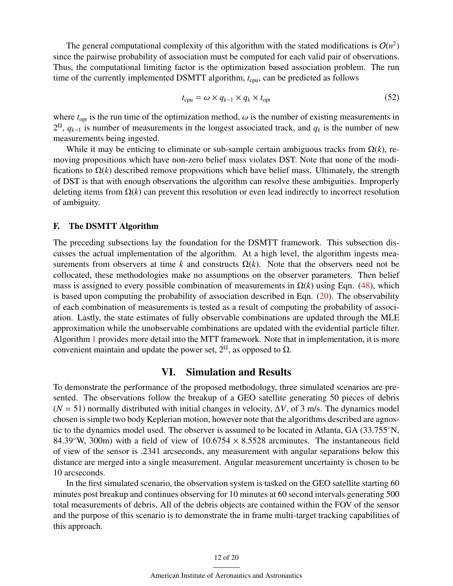The general computational complexity of this algorithm with the stated modifications is  $O(n^2)$ since the pairwise probability of association must be computed for each valid pair of observations. Thus, the computational limiting factor is the optimization based association problem. The run time of the currently implemented DSMTT algorithm,  $t_{\text{cpu}}$ , can be predicted as follows

<span id="page-11-1"></span>
$$
t_{\rm cpu} = \omega \times q_{k-1} \times q_k \times t_{\rm opt}
$$
 (52)

where  $t_{opt}$  is the run time of the optimization method,  $\omega$  is the number of existing measurements in  $2^{\Omega}$ ,  $q_{k-1}$  is number of measurements in the longest associated track, and  $q_k$  is the number of new measurements being ingested.

While it may be enticing to eliminate or sub-sample certain ambiguous tracks from  $\Omega(k)$ , removing propositions which have non-zero belief mass violates DST. Note that none of the modifications to  $\Omega(k)$  described remove propositions which have belief mass. Ultimately, the strength of DST is that with enough observations the algorithm can resolve these ambiguities. Improperly deleting items from  $\Omega(k)$  can prevent this resolution or even lead indirectly to incorrect resolution of ambiguity.

### F. The DSMTT Algorithm

The preceding subsections lay the foundation for the DSMTT framework. This subsection discusses the actual implementation of the algorithm. At a high level, the algorithm ingests measurements from observers at time *k* and constructs  $\Omega(k)$ . Note that the observers need not be collocated, these methodologies make no assumptions on the observer parameters. Then belief mass is assigned to every possible combination of measurements in  $\Omega(k)$  using Eqn. [\(48\)](#page-9-0), which is based upon computing the probability of association described in Eqn. [\(20\)](#page-5-3). The observability of each combination of measurements is tested as a result of computing the probability of association. Lastly, the state estimates of fully observable combinations are updated through the MLE approximation while the unobservable combinations are updated with the evidential particle filter. Algorithm [1](#page-12-0) provides more detail into the MTT framework. Note that in implementation, it is more convenient maintain and update the power set,  $2^{\Omega}$ , as opposed to  $\Omega$ .

# VI. Simulation and Results

<span id="page-11-0"></span>To demonstrate the performance of the proposed methodology, three simulated scenarios are presented. The observations follow the breakup of a GEO satellite generating 50 pieces of debris  $(N = 51)$  normally distributed with initial changes in velocity,  $\Delta V$ , of 3 m/s. The dynamics model chosen is simple two body Keplerian motion, however note that the algorithms described are agnostic to the dynamics model used. The observer is assumed to be located in Atlanta, GA (33.755◦N, 84.39°W, 300m) with a field of view of  $10.6754 \times 8.5528$  arcminutes. The instantaneous field of view of the sensor is .2341 arcseconds, any measurement with angular separations below this distance are merged into a single measurement. Angular measurement uncertainty is chosen to be 10 arcseconds.

In the first simulated scenario, the observation system is tasked on the GEO satellite starting 60 minutes post breakup and continues observing for 10 minutes at 60 second intervals generating 500 total measurements of debris. All of the debris objects are contained within the FOV of the sensor and the purpose of this scenario is to demonstrate the in frame multi-target tracking capabilities of this approach.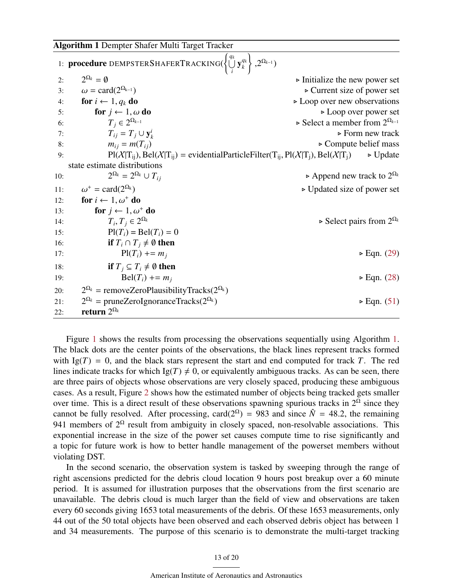<span id="page-12-0"></span>

|     | 1: <b>procedure</b> DEMPSTERSHAFERTRACKING( $\left\{\bigcup_{k=1}^{q_k} y_k^{q_k}\right\}$ , $2^{\Omega_{k-1}}$ ) |                                                                                                                                                           |
|-----|-------------------------------------------------------------------------------------------------------------------|-----------------------------------------------------------------------------------------------------------------------------------------------------------|
| 2:  | $2^{\Omega_k} = \emptyset$                                                                                        | $\triangleright$ Initialize the new power set                                                                                                             |
| 3:  | $\omega = \text{card}(2^{\Omega_{k-1}})$                                                                          | $\triangleright$ Current size of power set                                                                                                                |
| 4:  | for $i \leftarrow 1, q_k$ do                                                                                      | $\triangleright$ Loop over new observations                                                                                                               |
| 5:  | for $j \leftarrow 1, \omega$ do                                                                                   | $\triangleright$ Loop over power set                                                                                                                      |
| 6:  | $T_i \in 2^{\Omega_{k-1}}$                                                                                        | $\triangleright$ Select a member from $2^{\Omega_{k-1}}$                                                                                                  |
| 7:  | $T_{ij} = T_j \cup \mathbf{y}_k^i$                                                                                | $\triangleright$ Form new track                                                                                                                           |
| 8:  | $m_{ij} = m(T_{ij})$                                                                                              | $\triangleright$ Compute belief mass                                                                                                                      |
| 9:  |                                                                                                                   | $Pl(X T_{ij})$ , Bel $(X T_{ij})$ = evidential Particle Filter(T <sub>ij</sub> , Pl(X T <sub>j</sub> ), Bel(X T <sub>j</sub> )<br>$\triangleright$ Update |
|     | state estimate distributions                                                                                      |                                                                                                                                                           |
| 10: | $2^{\Omega_k} = 2^{\Omega_k} \cup T_{ij}$                                                                         | $\triangleright$ Append new track to $2^{\Omega_k}$                                                                                                       |
| 11: | $\omega^+$ = card(2 <sup><math>\Omega_k</math></sup> )                                                            | $\triangleright$ Updated size of power set                                                                                                                |
| 12: | for $i \leftarrow 1, \omega^+$ do                                                                                 |                                                                                                                                                           |
| 13: | for $j \leftarrow 1, \omega^+$ do                                                                                 |                                                                                                                                                           |
| 14: | $T_i, T_j \in 2^{\Omega_k}$                                                                                       | $\triangleright$ Select pairs from $2^{\Omega_k}$                                                                                                         |
| 15: | $Pl(T_i) = Bel(T_i) = 0$                                                                                          |                                                                                                                                                           |
| 16: | <b>if</b> $T_i \cap T_j \neq \emptyset$ then                                                                      |                                                                                                                                                           |
| 17: | $Pl(T_i)$ += $m_i$                                                                                                | $\triangleright$ Eqn. (29)                                                                                                                                |
| 18: | <b>if</b> $T_i \subseteq T_i \neq \emptyset$ then                                                                 |                                                                                                                                                           |
| 19: | $Bel(T_i) += m_i$                                                                                                 | $\triangleright$ Eqn. (28)                                                                                                                                |
| 20: | $2^{\Omega_k}$ = removeZeroPlausibilityTracks( $2^{\Omega_k}$ )                                                   |                                                                                                                                                           |
| 21: | $2^{\Omega_k}$ = pruneZeroIgnoranceTracks( $2^{\Omega_k}$ )                                                       | $\triangleright$ Eqn. (51)                                                                                                                                |
| 22: | return $2^{\Omega_k}$                                                                                             |                                                                                                                                                           |

Figure [1](#page-13-0) shows the results from processing the observations sequentially using Algorithm [1.](#page-12-0) The black dots are the center points of the observations, the black lines represent tracks formed with  $Ig(T) = 0$ , and the black stars represent the start and end computed for track T. The red lines indicate tracks for which  $Ig(T) \neq 0$ , or equivalently ambiguous tracks. As can be seen, there are three pairs of objects whose observations are very closely spaced, producing these ambiguous cases. As a result, Figure [2](#page-13-1) shows how the estimated number of objects being tracked gets smaller over time. This is a direct result of these observations spawning spurious tracks in  $2^{\Omega}$  since they cannot be fully resolved. After processing, card( $2^{\Omega}$ ) = 983 and since  $\hat{N}$  = 48.2, the remaining 941 members of  $2^{\Omega}$  result from ambiguity in closely spaced, non-resolvable associations. This exponential increase in the size of the power set causes compute time to rise significantly and a topic for future work is how to better handle management of the powerset members without violating DST.

In the second scenario, the observation system is tasked by sweeping through the range of right ascensions predicted for the debris cloud location 9 hours post breakup over a 60 minute period. It is assumed for illustration purposes that the observations from the first scenario are unavailable. The debris cloud is much larger than the field of view and observations are taken every 60 seconds giving 1653 total measurements of the debris. Of these 1653 measurements, only 44 out of the 50 total objects have been observed and each observed debris object has between 1 and 34 measurements. The purpose of this scenario is to demonstrate the multi-target tracking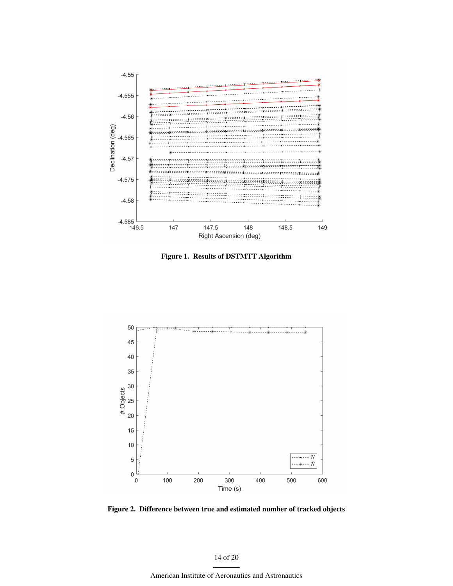

<span id="page-13-0"></span>Figure 1. Results of DSTMTT Algorithm



<span id="page-13-1"></span>Figure 2. Difference between true and estimated number of tracked objects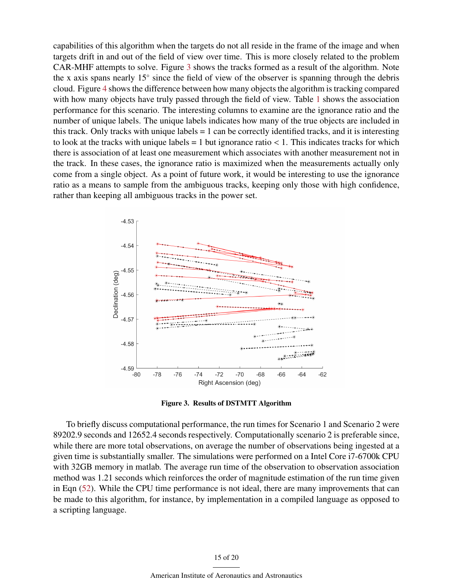capabilities of this algorithm when the targets do not all reside in the frame of the image and when targets drift in and out of the field of view over time. This is more closely related to the problem CAR-MHF attempts to solve. Figure [3](#page-14-1) shows the tracks formed as a result of the algorithm. Note the x axis spans nearly 15◦ since the field of view of the observer is spanning through the debris cloud. Figure [4](#page-16-3) shows the difference between how many objects the algorithm is tracking compared with how many objects have truly passed through the field of view. Table [1](#page-15-0) shows the association performance for this scenario. The interesting columns to examine are the ignorance ratio and the number of unique labels. The unique labels indicates how many of the true objects are included in this track. Only tracks with unique labels  $= 1$  can be correctly identified tracks, and it is interesting to look at the tracks with unique labels  $= 1$  but ignorance ratio  $< 1$ . This indicates tracks for which there is association of at least one measurement which associates with another measurement not in the track. In these cases, the ignorance ratio is maximized when the measurements actually only come from a single object. As a point of future work, it would be interesting to use the ignorance ratio as a means to sample from the ambiguous tracks, keeping only those with high confidence, rather than keeping all ambiguous tracks in the power set.



<span id="page-14-1"></span>Figure 3. Results of DSTMTT Algorithm

<span id="page-14-0"></span>To briefly discuss computational performance, the run times for Scenario 1 and Scenario 2 were 89202.9 seconds and 12652.4 seconds respectively. Computationally scenario 2 is preferable since, while there are more total observations, on average the number of observations being ingested at a given time is substantially smaller. The simulations were performed on a Intel Core i7-6700k CPU with 32GB memory in matlab. The average run time of the observation to observation association method was 1.21 seconds which reinforces the order of magnitude estimation of the run time given in Eqn [\(52\)](#page-11-1). While the CPU time performance is not ideal, there are many improvements that can be made to this algorithm, for instance, by implementation in a compiled language as opposed to a scripting language.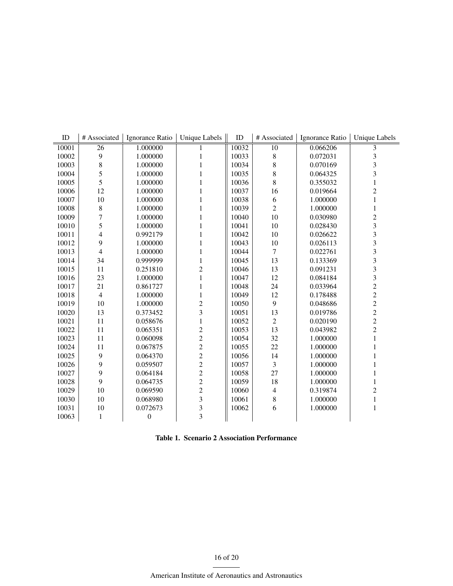| ID    | # Associated             | Ignorance Ratio  | <b>Unique Labels</b>    | $\rm ID$ | # Associated    | Ignorance Ratio | Unique Labels           |
|-------|--------------------------|------------------|-------------------------|----------|-----------------|-----------------|-------------------------|
| 10001 | $\overline{26}$          | 1.000000         |                         | 10032    | $\overline{10}$ | 0.066206        |                         |
| 10002 | $\mathbf{9}$             | 1.000000         |                         | 10033    | $\,$ 8 $\,$     | 0.072031        | 3                       |
| 10003 | $\,8\,$                  | 1.000000         | 1                       | 10034    | 8               | 0.070169        | $\overline{\mathbf{3}}$ |
| 10004 | 5                        | 1.000000         | 1                       | 10035    | 8               | 0.064325        | 3                       |
| 10005 | 5                        | 1.000000         | 1                       | 10036    | 8               | 0.355032        | $\mathbf{1}$            |
| 10006 | 12                       | 1.000000         | 1                       | 10037    | 16              | 0.019664        | $\overline{c}$          |
| 10007 | $10\,$                   | 1.000000         | 1                       | 10038    | 6               | 1.000000        | 1                       |
| 10008 | $\,8\,$                  | 1.000000         | $\mathbf{1}$            | 10039    | $\overline{2}$  | 1.000000        | 1                       |
| 10009 | $\overline{7}$           | 1.000000         | 1                       | 10040    | 10              | 0.030980        | $\overline{c}$          |
| 10010 | 5                        | 1.000000         | 1                       | 10041    | 10              | 0.028430        | 3                       |
| 10011 | $\overline{4}$           | 0.992179         | $\mathbf{1}$            | 10042    | 10              | 0.026622        | 3                       |
| 10012 | 9                        | 1.000000         | 1                       | 10043    | 10              | 0.026113        | $\overline{\mathbf{3}}$ |
| 10013 | $\overline{\mathcal{L}}$ | 1.000000         | 1                       | 10044    | $\overline{7}$  | 0.022761        | 3                       |
| 10014 | 34                       | 0.999999         | 1                       | 10045    | 13              | 0.133369        | 3                       |
| 10015 | 11                       | 0.251810         | $\overline{c}$          | 10046    | 13              | 0.091231        | 3                       |
| 10016 | 23                       | 1.000000         | $\mathbf{1}$            | 10047    | 12              | 0.084184        | 3                       |
| 10017 | 21                       | 0.861727         | $\mathbf{1}$            | 10048    | 24              | 0.033964        | $\overline{c}$          |
| 10018 | $\overline{4}$           | 1.000000         | $\mathbf{1}$            | 10049    | 12              | 0.178488        | $\overline{c}$          |
| 10019 | 10                       | 1.000000         | $\overline{c}$          | 10050    | 9               | 0.048686        | $\overline{c}$          |
| 10020 | 13                       | 0.373452         | 3                       | 10051    | 13              | 0.019786        | $\frac{2}{2}$           |
| 10021 | 11                       | 0.058676         | $\mathbf{1}$            | 10052    | $\overline{2}$  | 0.020190        |                         |
| 10022 | 11                       | 0.065351         | $\overline{c}$          | 10053    | 13              | 0.043982        | $\overline{c}$          |
| 10023 | 11                       | 0.060098         | $\overline{c}$          | 10054    | 32              | 1.000000        | $\mathbf{1}$            |
| 10024 | 11                       | 0.067875         | $\overline{c}$          | 10055    | 22              | 1.000000        |                         |
| 10025 | 9                        | 0.064370         | $\overline{c}$          | 10056    | 14              | 1.000000        | 1                       |
| 10026 | 9                        | 0.059507         | $\overline{c}$          | 10057    | 3               | 1.000000        | 1                       |
| 10027 | 9                        | 0.064184         | $\overline{c}$          | 10058    | 27              | 1.000000        | 1                       |
| 10028 | 9                        | 0.064735         | $\overline{c}$          | 10059    | 18              | 1.000000        | 1                       |
| 10029 | 10                       | 0.069590         | $\overline{c}$          | 10060    | 4               | 0.319874        | $\overline{c}$          |
| 10030 | 10                       | 0.068980         | 3                       | 10061    | 8               | 1.000000        | $\mathbf{1}$            |
| 10031 | 10                       | 0.072673         | $\overline{\mathbf{3}}$ | 10062    | 6               | 1.000000        | $\mathbf{1}$            |
| 10063 | $\mathbf{1}$             | $\boldsymbol{0}$ | $\overline{3}$          |          |                 |                 |                         |

<span id="page-15-0"></span>

| <b>Table 1. Scenario 2 Association Performance</b> |  |  |  |
|----------------------------------------------------|--|--|--|
|----------------------------------------------------|--|--|--|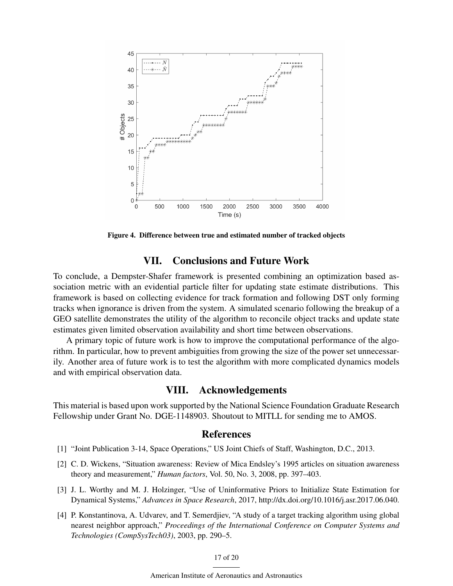

Figure 4. Difference between true and estimated number of tracked objects

# <span id="page-16-3"></span>VII. Conclusions and Future Work

To conclude, a Dempster-Shafer framework is presented combining an optimization based association metric with an evidential particle filter for updating state estimate distributions. This framework is based on collecting evidence for track formation and following DST only forming tracks when ignorance is driven from the system. A simulated scenario following the breakup of a GEO satellite demonstrates the utility of the algorithm to reconcile object tracks and update state estimates given limited observation availability and short time between observations.

A primary topic of future work is how to improve the computational performance of the algorithm. In particular, how to prevent ambiguities from growing the size of the power set unnecessarily. Another area of future work is to test the algorithm with more complicated dynamics models and with empirical observation data.

# VIII. Acknowledgements

This material is based upon work supported by the National Science Foundation Graduate Research Fellowship under Grant No. DGE-1148903. Shoutout to MITLL for sending me to AMOS.

# References

- <span id="page-16-0"></span>[1] "Joint Publication 3-14, Space Operations," US Joint Chiefs of Staff, Washington, D.C., 2013.
- <span id="page-16-1"></span>[2] C. D. Wickens, "Situation awareness: Review of Mica Endsley's 1995 articles on situation awareness theory and measurement," *Human factors*, Vol. 50, No. 3, 2008, pp. 397–403.
- [3] J. L. Worthy and M. J. Holzinger, "Use of Uninformative Priors to Initialize State Estimation for Dynamical Systems," *Advances in Space Research*, 2017, http://dx.doi.org/10.1016/j.asr.2017.06.040.
- <span id="page-16-2"></span>[4] P. Konstantinova, A. Udvarev, and T. Semerdjiev, "A study of a target tracking algorithm using global nearest neighbor approach," *Proceedings of the International Conference on Computer Systems and Technologies (CompSysTech03)*, 2003, pp. 290–5.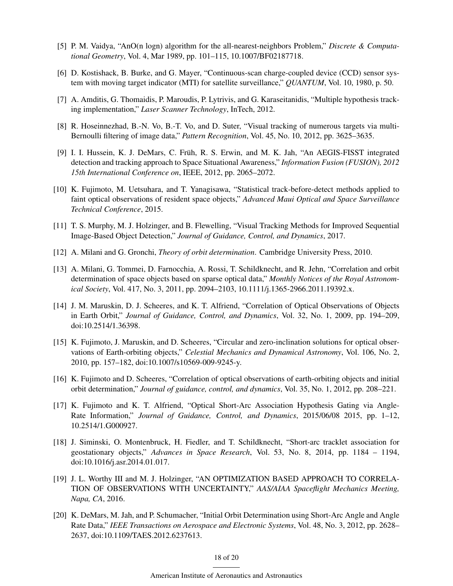- [5] P. M. Vaidya, "AnO(n logn) algorithm for the all-nearest-neighbors Problem," *Discrete & Computational Geometry*, Vol. 4, Mar 1989, pp. 101–115, 10.1007/BF02187718.
- <span id="page-17-0"></span>[6] D. Kostishack, B. Burke, and G. Mayer, "Continuous-scan charge-coupled device (CCD) sensor system with moving target indicator (MTI) for satellite surveillance," *QUANTUM*, Vol. 10, 1980, p. 50.
- <span id="page-17-1"></span>[7] A. Amditis, G. Thomaidis, P. Maroudis, P. Lytrivis, and G. Karaseitanidis, "Multiple hypothesis tracking implementation," *Laser Scanner Technology*, InTech, 2012.
- <span id="page-17-2"></span>[8] R. Hoseinnezhad, B.-N. Vo, B.-T. Vo, and D. Suter, "Visual tracking of numerous targets via multi-Bernoulli filtering of image data," *Pattern Recognition*, Vol. 45, No. 10, 2012, pp. 3625–3635.
- <span id="page-17-3"></span>[9] I. I. Hussein, K. J. DeMars, C. Früh, R. S. Erwin, and M. K. Jah, "An AEGIS-FISST integrated detection and tracking approach to Space Situational Awareness," *Information Fusion (FUSION), 2012 15th International Conference on*, IEEE, 2012, pp. 2065–2072.
- [10] K. Fujimoto, M. Uetsuhara, and T. Yanagisawa, "Statistical track-before-detect methods applied to faint optical observations of resident space objects," *Advanced Maui Optical and Space Surveillance Technical Conference*, 2015.
- <span id="page-17-4"></span>[11] T. S. Murphy, M. J. Holzinger, and B. Flewelling, "Visual Tracking Methods for Improved Sequential Image-Based Object Detection," *Journal of Guidance, Control, and Dynamics*, 2017.
- <span id="page-17-5"></span>[12] A. Milani and G. Gronchi, *Theory of orbit determination*. Cambridge University Press, 2010.
- <span id="page-17-6"></span>[13] A. Milani, G. Tommei, D. Farnocchia, A. Rossi, T. Schildknecht, and R. Jehn, "Correlation and orbit determination of space objects based on sparse optical data," *Monthly Notices of the Royal Astronomical Society*, Vol. 417, No. 3, 2011, pp. 2094–2103, 10.1111/j.1365-2966.2011.19392.x.
- <span id="page-17-7"></span>[14] J. M. Maruskin, D. J. Scheeres, and K. T. Alfriend, "Correlation of Optical Observations of Objects in Earth Orbit," *Journal of Guidance, Control, and Dynamics*, Vol. 32, No. 1, 2009, pp. 194–209, doi:10.2514/1.36398.
- [15] K. Fujimoto, J. Maruskin, and D. Scheeres, "Circular and zero-inclination solutions for optical observations of Earth-orbiting objects," *Celestial Mechanics and Dynamical Astronomy*, Vol. 106, No. 2, 2010, pp. 157–182, doi:10.1007/s10569-009-9245-y.
- <span id="page-17-8"></span>[16] K. Fujimoto and D. Scheeres, "Correlation of optical observations of earth-orbiting objects and initial orbit determination," *Journal of guidance, control, and dynamics*, Vol. 35, No. 1, 2012, pp. 208–221.
- <span id="page-17-9"></span>[17] K. Fujimoto and K. T. Alfriend, "Optical Short-Arc Association Hypothesis Gating via Angle-Rate Information," *Journal of Guidance, Control, and Dynamics*, 2015/06/08 2015, pp. 1–12, 10.2514/1.G000927.
- <span id="page-17-10"></span>[18] J. Siminski, O. Montenbruck, H. Fiedler, and T. Schildknecht, "Short-arc tracklet association for geostationary objects," *Advances in Space Research*, Vol. 53, No. 8, 2014, pp. 1184 – 1194, doi:10.1016/j.asr.2014.01.017.
- <span id="page-17-11"></span>[19] J. L. Worthy III and M. J. Holzinger, "AN OPTIMIZATION BASED APPROACH TO CORRELA-TION OF OBSERVATIONS WITH UNCERTAINTY," *AAS/AIAA Spaceflight Mechanics Meeting, Napa, CA*, 2016.
- <span id="page-17-12"></span>[20] K. DeMars, M. Jah, and P. Schumacher, "Initial Orbit Determination using Short-Arc Angle and Angle Rate Data," *IEEE Transactions on Aerospace and Electronic Systems*, Vol. 48, No. 3, 2012, pp. 2628– 2637, doi:10.1109/TAES.2012.6237613.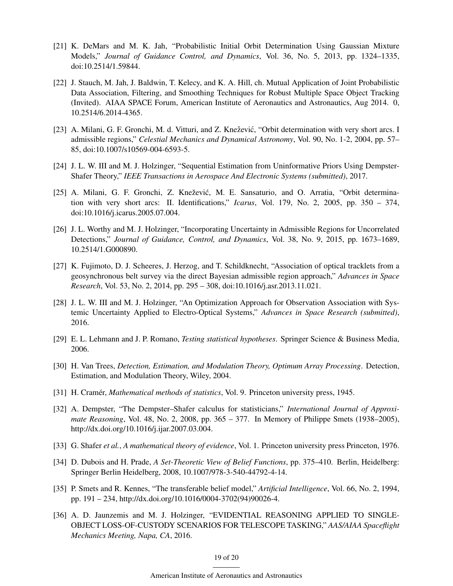- [21] K. DeMars and M. K. Jah, "Probabilistic Initial Orbit Determination Using Gaussian Mixture Models," *Journal of Guidance Control, and Dynamics*, Vol. 36, No. 5, 2013, pp. 1324–1335, doi:10.2514/1.59844.
- <span id="page-18-0"></span>[22] J. Stauch, M. Jah, J. Baldwin, T. Kelecy, and K. A. Hill, ch. Mutual Application of Joint Probabilistic Data Association, Filtering, and Smoothing Techniques for Robust Multiple Space Object Tracking (Invited). AIAA SPACE Forum, American Institute of Aeronautics and Astronautics, Aug 2014. 0, 10.2514/6.2014-4365.
- <span id="page-18-1"></span>[23] A. Milani, G. F. Gronchi, M. d. Vitturi, and Z. Knežević, "Orbit determination with very short arcs. I admissible regions," *Celestial Mechanics and Dynamical Astronomy*, Vol. 90, No. 1-2, 2004, pp. 57– 85, doi:10.1007/s10569-004-6593-5.
- <span id="page-18-2"></span>[24] J. L. W. III and M. J. Holzinger, "Sequential Estimation from Uninformative Priors Using Dempster-Shafer Theory," *IEEE Transactions in Aerospace And Electronic Systems (submitted)*, 2017.
- <span id="page-18-3"></span>[25] A. Milani, G. F. Gronchi, Z. Knežević, M. E. Sansaturio, and O. Arratia, "Orbit determination with very short arcs: II. Identifications," *Icarus*, Vol. 179, No. 2, 2005, pp. 350 – 374, doi:10.1016/j.icarus.2005.07.004.
- <span id="page-18-4"></span>[26] J. L. Worthy and M. J. Holzinger, "Incorporating Uncertainty in Admissible Regions for Uncorrelated Detections," *Journal of Guidance, Control, and Dynamics*, Vol. 38, No. 9, 2015, pp. 1673–1689, 10.2514/1.G000890.
- <span id="page-18-5"></span>[27] K. Fujimoto, D. J. Scheeres, J. Herzog, and T. Schildknecht, "Association of optical tracklets from a geosynchronous belt survey via the direct Bayesian admissible region approach," *Advances in Space Research*, Vol. 53, No. 2, 2014, pp. 295 – 308, doi:10.1016/j.asr.2013.11.021.
- <span id="page-18-6"></span>[28] J. L. W. III and M. J. Holzinger, "An Optimization Approach for Observation Association with Systemic Uncertainty Applied to Electro-Optical Systems," *Advances in Space Research (submitted)*, 2016.
- <span id="page-18-7"></span>[29] E. L. Lehmann and J. P. Romano, *Testing statistical hypotheses*. Springer Science & Business Media, 2006.
- <span id="page-18-8"></span>[30] H. Van Trees, *Detection, Estimation, and Modulation Theory, Optimum Array Processing*. Detection, Estimation, and Modulation Theory, Wiley, 2004.
- <span id="page-18-9"></span>[31] H. Cramér, *Mathematical methods of statistics*, Vol. 9. Princeton university press, 1945.
- <span id="page-18-10"></span>[32] A. Dempster, "The Dempster–Shafer calculus for statisticians," *International Journal of Approximate Reasoning*, Vol. 48, No. 2, 2008, pp. 365 – 377. In Memory of Philippe Smets (1938–2005), http://dx.doi.org/10.1016/j.ijar.2007.03.004.
- [33] G. Shafer *et al.*, *A mathematical theory of evidence*, Vol. 1. Princeton university press Princeton, 1976.
- <span id="page-18-13"></span>[34] D. Dubois and H. Prade, *A Set-Theoretic View of Belief Functions*, pp. 375–410. Berlin, Heidelberg: Springer Berlin Heidelberg, 2008, 10.1007/978-3-540-44792-4-14.
- <span id="page-18-11"></span>[35] P. Smets and R. Kennes, "The transferable belief model," *Artificial Intelligence*, Vol. 66, No. 2, 1994, pp. 191 – 234, http://dx.doi.org/10.1016/0004-3702(94)90026-4.
- <span id="page-18-12"></span>[36] A. D. Jaunzemis and M. J. Holzinger, "EVIDENTIAL REASONING APPLIED TO SINGLE-OBJECT LOSS-OF-CUSTODY SCENARIOS FOR TELESCOPE TASKING," *AAS/AIAA Spaceflight Mechanics Meeting, Napa, CA*, 2016.